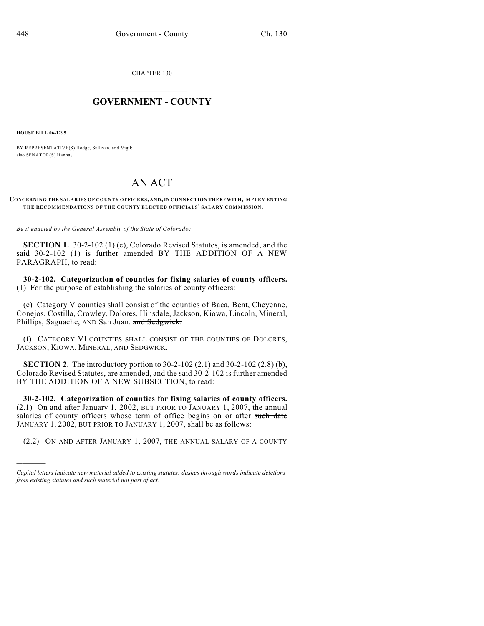CHAPTER 130

## $\mathcal{L}_\text{max}$  . The set of the set of the set of the set of the set of the set of the set of the set of the set of the set of the set of the set of the set of the set of the set of the set of the set of the set of the set **GOVERNMENT - COUNTY**  $\_$

**HOUSE BILL 06-1295**

)))))

BY REPRESENTATIVE(S) Hodge, Sullivan, and Vigil; also SENATOR(S) Hanna.

## AN ACT

## **CONCERNING THE SALARIES OF COUNTY OFFICERS, AND, IN CONNECTION THEREWITH, IMPLEMENTING THE RECOMMENDATIONS OF THE COUNTY ELECTED OFFICIALS' SALARY COMMISSION.**

*Be it enacted by the General Assembly of the State of Colorado:*

**SECTION 1.** 30-2-102 (1) (e), Colorado Revised Statutes, is amended, and the said 30-2-102 (1) is further amended BY THE ADDITION OF A NEW PARAGRAPH, to read:

**30-2-102. Categorization of counties for fixing salaries of county officers.** (1) For the purpose of establishing the salaries of county officers:

(e) Category V counties shall consist of the counties of Baca, Bent, Cheyenne, Conejos, Costilla, Crowley, <del>Dolores,</del> Hinsdale, Jackson, Kiowa, Lincoln, Mineral, Phillips, Saguache, AND San Juan. and Sedgwick.

(f) CATEGORY VI COUNTIES SHALL CONSIST OF THE COUNTIES OF DOLORES, JACKSON, KIOWA, MINERAL, AND SEDGWICK.

**SECTION 2.** The introductory portion to 30-2-102 (2.1) and 30-2-102 (2.8) (b), Colorado Revised Statutes, are amended, and the said 30-2-102 is further amended BY THE ADDITION OF A NEW SUBSECTION, to read:

**30-2-102. Categorization of counties for fixing salaries of county officers.** (2.1) On and after January 1, 2002, BUT PRIOR TO JANUARY 1, 2007, the annual salaries of county officers whose term of office begins on or after such date JANUARY 1, 2002, BUT PRIOR TO JANUARY 1, 2007, shall be as follows:

(2.2) ON AND AFTER JANUARY 1, 2007, THE ANNUAL SALARY OF A COUNTY

*Capital letters indicate new material added to existing statutes; dashes through words indicate deletions from existing statutes and such material not part of act.*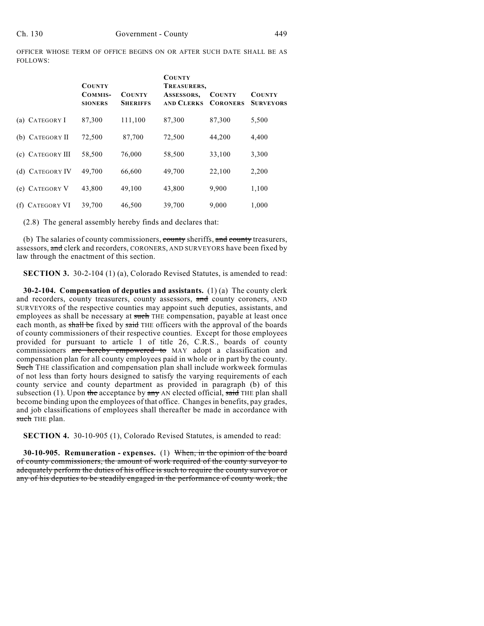OFFICER WHOSE TERM OF OFFICE BEGINS ON OR AFTER SUCH DATE SHALL BE AS FOLLOWS:

|                           | <b>COUNTY</b><br>COMMIS-<br><b>SIONERS</b> | <b>COUNTY</b><br><b>SHERIFFS</b> | <b>COUNTY</b><br>TREASURERS,<br>ASSESSORS,<br><b>AND CLERKS</b> | <b>COUNTY</b><br><b>CORONERS</b> | <b>COUNTY</b><br><b>SURVEYORS</b> |
|---------------------------|--------------------------------------------|----------------------------------|-----------------------------------------------------------------|----------------------------------|-----------------------------------|
| (a) CATEGORY I            | 87,300                                     | 111,100                          | 87,300                                                          | 87,300                           | 5,500                             |
| (b) CATEGORY II           | 72,500                                     | 87,700                           | 72,500                                                          | 44,200                           | 4,400                             |
| (c) CATEGORY III          | 58,500                                     | 76,000                           | 58,500                                                          | 33,100                           | 3,300                             |
| (d) CATEGORY IV           | 49,700                                     | 66,600                           | 49,700                                                          | 22,100                           | 2,200                             |
| (e) CATEGORY V            | 43,800                                     | 49,100                           | 43,800                                                          | 9,900                            | 1,100                             |
| <b>CATEGORY VI</b><br>(f) | 39,700                                     | 46,500                           | 39,700                                                          | 9,000                            | 1,000                             |

(2.8) The general assembly hereby finds and declares that:

(b) The salaries of county commissioners, county sheriffs, and county treasurers, assessors, and clerk and recorders, CORONERS, AND SURVEYORS have been fixed by law through the enactment of this section.

**SECTION 3.** 30-2-104 (1) (a), Colorado Revised Statutes, is amended to read:

**30-2-104. Compensation of deputies and assistants.** (1) (a) The county clerk and recorders, county treasurers, county assessors, and county coroners, AND SURVEYORS of the respective counties may appoint such deputies, assistants, and employees as shall be necessary at such THE compensation, payable at least once each month, as shall be fixed by said THE officers with the approval of the boards of county commissioners of their respective counties. Except for those employees provided for pursuant to article 1 of title 26, C.R.S., boards of county commissioners are hereby empowered to MAY adopt a classification and compensation plan for all county employees paid in whole or in part by the county. Such THE classification and compensation plan shall include workweek formulas of not less than forty hours designed to satisfy the varying requirements of each county service and county department as provided in paragraph (b) of this subsection (1). Upon the acceptance by  $\frac{a_n}{b_n}$  and  $\frac{b_n}{c_n}$  and  $\frac{c_n}{d_n}$  THE plan shall become binding upon the employees of that office. Changes in benefits, pay grades, and job classifications of employees shall thereafter be made in accordance with such THE plan.

**SECTION 4.** 30-10-905 (1), Colorado Revised Statutes, is amended to read:

**30-10-905. Remuneration - expenses.** (1) When, in the opinion of the board of county commissioners, the amount of work required of the county surveyor to adequately perform the duties of his office is such to require the county surveyor or any of his deputies to be steadily engaged in the performance of county work, the